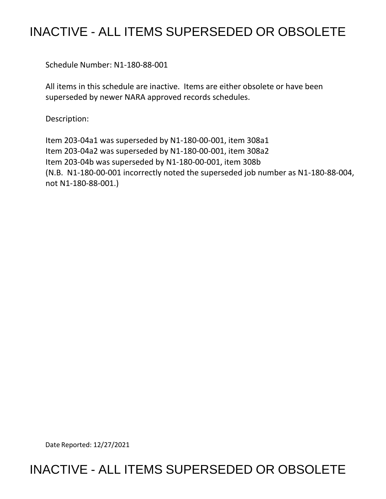## INACTIVE - ALL ITEMS SUPERSEDED OR OBSOLETE

Schedule Number: N1-180-88-001

 All items in this schedule are inactive. Items are either obsolete or have been superseded by newer NARA approved records schedules.

Description:

 Item 203-04a1 was superseded by N1-180-00-001, item 308a1 Item 203-04a2 was superseded by N1-180-00-001, item 308a2 Item 203-04b was superseded by N1-180-00-001, item 308b (N.B. N1-180-00-001 incorrectly noted the superseded job number as N1-180-88-004, not N1-180-88-001.)

Date Reported: 12/27/2021

## INACTIVE - ALL ITEMS SUPERSEDED OR OBSOLETE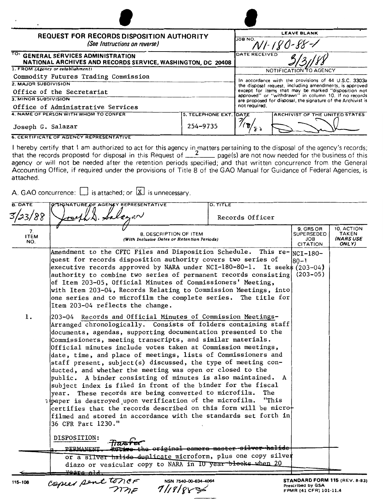| <b>REQUEST FOR RECORDS DISPOSITION AUTHORITY</b><br>(See Instructions on reverse)<br>TO: GENERAL SERVICES ADMINISTRATION<br>NATIONAL ARCHIVES AND RECORDS SERVICE, WASHINGTON, DC 20408 |          | <b>LEAVE BLANK</b>                                                                                                                                                                                                                                                                                               |                        |
|-----------------------------------------------------------------------------------------------------------------------------------------------------------------------------------------|----------|------------------------------------------------------------------------------------------------------------------------------------------------------------------------------------------------------------------------------------------------------------------------------------------------------------------|------------------------|
|                                                                                                                                                                                         |          | JOB NO.                                                                                                                                                                                                                                                                                                          |                        |
|                                                                                                                                                                                         |          | DATE RECEIVED                                                                                                                                                                                                                                                                                                    |                        |
| 1. FROM (Agency or establishment)                                                                                                                                                       |          |                                                                                                                                                                                                                                                                                                                  | NOTIFICATION TO AGENCY |
| Commodity Futures Trading Commission                                                                                                                                                    |          |                                                                                                                                                                                                                                                                                                                  |                        |
| 2. MAJOR SUBDIVISION                                                                                                                                                                    |          | In accordance with the provisions of 44 U.S.C. 3303a<br>the disposal request, including amendments, is approved<br>except for items that may be marked "disposition not<br>approved" or "withdrawn" in column 10. If no records<br>are proposed for disposal, the signature of the Archivist is<br>not required. |                        |
| Office of the Secretariat                                                                                                                                                               |          |                                                                                                                                                                                                                                                                                                                  |                        |
| 3. MINOR SUBDIVISION<br>Office of Administrative Services                                                                                                                               |          |                                                                                                                                                                                                                                                                                                                  |                        |
|                                                                                                                                                                                         |          |                                                                                                                                                                                                                                                                                                                  |                        |
| Joseph G. Salazar                                                                                                                                                                       | 254-9735 |                                                                                                                                                                                                                                                                                                                  |                        |
| <b>6. CERTIFICATE OF AGENCY REPRESENTATIVE</b>                                                                                                                                          |          |                                                                                                                                                                                                                                                                                                                  |                        |

l hereby certify that I am authorized to act for this agency in matters pertaining to the disposal of the agency's records;<br>that the records proposed for disposal in this Request of \_\_\_\_\_\_\_\_ page(s) are not now needed for agency or will not be needed after the retention periods specified; and that written concurrence from the General Accounting Office, if required under the provisions of Title 8 of the GAO Manual for Guidance of Federal Agencies, is attached.

A. GAO concurrence:  $\Box$  is attached; or  $\boxed{\textbf{X}}$  is unnecessary.

| <b>B. DATE</b><br>3/23/88 | O. SIGNATURE OF AGENCY REPRESENTATIVE                                                                                                                                                                                                                                                                                                                                                                                                                                                                                                                                                                                                                                                                                                                                                                                                                                                                                                        | <b>D. TITLE</b><br>Records Officer                   |                               |                                           |
|---------------------------|----------------------------------------------------------------------------------------------------------------------------------------------------------------------------------------------------------------------------------------------------------------------------------------------------------------------------------------------------------------------------------------------------------------------------------------------------------------------------------------------------------------------------------------------------------------------------------------------------------------------------------------------------------------------------------------------------------------------------------------------------------------------------------------------------------------------------------------------------------------------------------------------------------------------------------------------|------------------------------------------------------|-------------------------------|-------------------------------------------|
| 7.<br><b>ITEM</b><br>NO.  | SUPERSEDED<br>8. DESCRIPTION OF ITEM<br>(With Inclusive Dates or Retention Periods)                                                                                                                                                                                                                                                                                                                                                                                                                                                                                                                                                                                                                                                                                                                                                                                                                                                          |                                                      |                               | 10. ACTION<br>TAKEN<br>(NARS USE<br>ONLY) |
|                           | Amendment to the CFTC Files and Disposition Schedule. This $re$ - $ _{NCI-180-}$<br>quest for records disposition authority covers two series of<br>executive records approved by NARA under NCI-180-80-1. It seek\$ $(203-04)$<br>authority to combine two series of permanent records consisting<br>of Item 203-05, Official Minutes of Commissioners' Meeting,<br>with Item 203-04, Records Relating to Commission Meetings, into<br>one series and to microfilm the complete series. The title for<br>Item 203-04 reflects the change.                                                                                                                                                                                                                                                                                                                                                                                                   |                                                      | l80–1.<br>$(203 - 05)$        |                                           |
| 1.                        | 203-04 Records and Official Minutes of Commission Meetings-<br>Arranged chronologically. Consists of folders containing staff<br>documents, agendas, supporting documentation presented to the<br>Commissioners, meeting transcripts, and similar materials.<br>Official minutes include votes taken at Commission meetings,<br>date, time, and place of meetings, lists of Commissioners and<br>staff present, subject(s) discussed, the type of meeting con-<br>ducted, and whether the meeting was open or closed to the<br>public. A binder consisting of minutes is also maintained. A<br>subject index is filed in front of the binder for the fiscal<br>year. These records are being converted to microfilm.<br>apaper is destroyed upon verification of the microfilm.<br>certifies that the records described on this form will be micro-<br>filmed and stored in accordance with the standards set forth in<br>36 CFR Part 1230." | The<br>"This                                         |                               |                                           |
|                           | DISPOSITION:<br>112751<br><b>PERMANENT</b><br>or a silver halide duplicate microform, plus one copy silver                                                                                                                                                                                                                                                                                                                                                                                                                                                                                                                                                                                                                                                                                                                                                                                                                                   | the original camera master si <del>lver halide</del> |                               |                                           |
|                           | diazo or vesicular copy to NARA in IU year blocks when 20<br>vears ale                                                                                                                                                                                                                                                                                                                                                                                                                                                                                                                                                                                                                                                                                                                                                                                                                                                                       |                                                      | STANDARD FORM 115 (REV. 8-83) |                                           |
| 115-108                   | $m_{max}$ pent tonce<br>NSN 7540-00-634-4064                                                                                                                                                                                                                                                                                                                                                                                                                                                                                                                                                                                                                                                                                                                                                                                                                                                                                                 |                                                      |                               |                                           |

**NSN 7540-00-634-4064 STANDARD FORM 115** (REV. 8-83)<br> **Prescribed by GSA** *PMR* (41 CFR) 101-11.4<br> **PMR** (41 CFR) 101-11.4